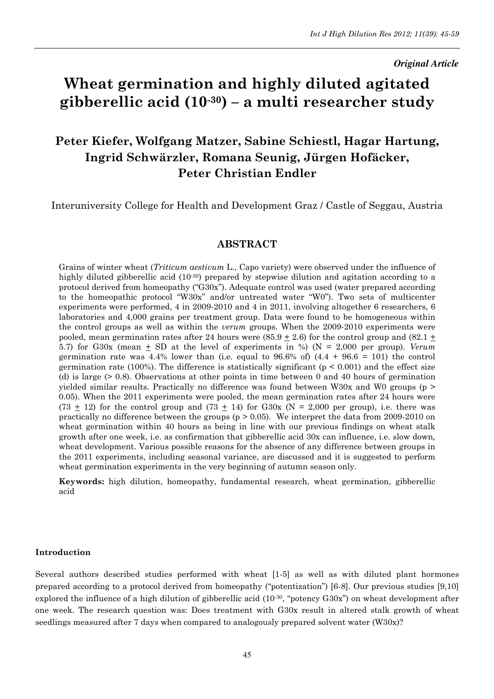#### *Original Article*

# Wheat germination and highly diluted agitated gibberellic acid  $(10^{-30})$  – a multi researcher study

## Peter Kiefer, Wolfgang Matzer, Sabine Schiestl, Hagar Hartung, Ingrid Schwärzler, Romana Seunig, Jürgen Hofäcker, Peter Christian Endler

Interuniversity College for Health and Development Graz / Castle of Seggau, Austria

## ABSTRACT

Grains of winter wheat (Triticum aestivum L., Capo variety) were observed under the influence of highly diluted gibberellic acid (10<sup>-30</sup>) prepared by stepwise dilution and agitation according to a protocol derived from homeopathy ("G30x"). Adequate control was used (water prepared according to the homeopathic protocol "W30x" and/or untreated water "W0"). Two sets of multicenter experiments were performed, 4 in 2009-2010 and 4 in 2011, involving altogether 6 researchers, 6 laboratories and 4,000 grains per treatment group. Data were found to be homogeneous within the control groups as well as within the verum groups. When the 2009-2010 experiments were pooled, mean germination rates after 24 hours were  $(85.9 \pm 2.6)$  for the control group and  $(82.1 \pm 1.6)$ 5.7) for G30x (mean  $\pm$  SD at the level of experiments in %) (N = 2,000 per group). Verum germination rate was  $4.4\%$  lower than (i.e. equal to  $96.6\%$  of)  $(4.4 + 96.6 = 101)$  the control germination rate (100%). The difference is statistically significant ( $p < 0.001$ ) and the effect size (d) is large (> 0.8). Observations at other points in time between 0 and 40 hours of germination yielded similar results. Practically no difference was found between W30x and W0 groups ( $p >$ 0.05). When the 2011 experiments were pooled, the mean germination rates after 24 hours were  $(73 \pm 12)$  for the control group and  $(73 \pm 14)$  for G30x (N = 2,000 per group), i.e. there was practically no difference between the groups  $(p > 0.05)$ . We interpret the data from 2009-2010 on wheat germination within 40 hours as being in line with our previous findings on wheat stalk growth after one week, i.e. as confirmation that gibberellic acid 30x can influence, i.e. slow down, wheat development. Various possible reasons for the absence of any difference between groups in the 2011 experiments, including seasonal variance, are discussed and it is suggested to perform wheat germination experiments in the very beginning of autumn season only.

Keywords: high dilution, homeopathy, fundamental research, wheat germination, gibberellic acid

#### Introduction

Several authors described studies performed with wheat [1-5] as well as with diluted plant hormones prepared according to a protocol derived from homeopathy ("potentization") [6-8]. Our previous studies [9,10] explored the influence of a high dilution of gibberellic acid  $(10^{-30}$ , "potency G30x") on wheat development after one week. The research question was: Does treatment with G30x result in altered stalk growth of wheat seedlings measured after 7 days when compared to analogously prepared solvent water (W30x)?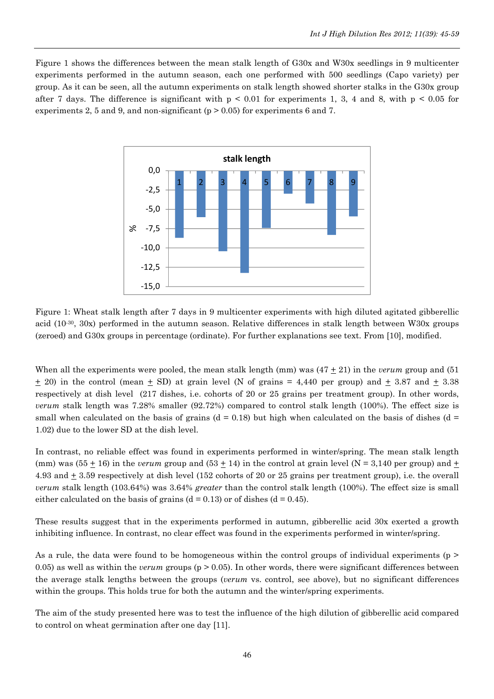Figure 1 shows the differences between the mean stalk length of G30x and W30x seedlings in 9 multicenter experiments performed in the autumn season, each one performed with 500 seedlings (Capo variety) per group. As it can be seen, all the autumn experiments on stalk length showed shorter stalks in the G30x group after 7 days. The difference is significant with  $p \le 0.01$  for experiments 1, 3, 4 and 8, with  $p \le 0.05$  for experiments 2, 5 and 9, and non-significant ( $p > 0.05$ ) for experiments 6 and 7.



Figure 1: Wheat stalk length after 7 days in 9 multicenter experiments with high diluted agitated gibberellic acid (10-30, 30x) performed in the autumn season. Relative differences in stalk length between W30x groups (zeroed) and G30x groups in percentage (ordinate). For further explanations see text. From [10], modified.

When all the experiments were pooled, the mean stalk length (mm) was  $(47 + 21)$  in the *verum* group and (51)  $\pm$  20) in the control (mean  $\pm$  SD) at grain level (N of grains = 4,440 per group) and  $\pm$  3.87 and  $\pm$  3.38 respectively at dish level (217 dishes, i.e. cohorts of 20 or 25 grains per treatment group). In other words, verum stalk length was 7.28% smaller (92.72%) compared to control stalk length (100%). The effect size is small when calculated on the basis of grains ( $d = 0.18$ ) but high when calculated on the basis of dishes ( $d =$ 1.02) due to the lower SD at the dish level.

In contrast, no reliable effect was found in experiments performed in winter/spring. The mean stalk length (mm) was (55  $\pm$  16) in the *verum* group and (53  $\pm$  14) in the control at grain level (N = 3,140 per group) and  $\pm$ 4.93 and  $\pm$  3.59 respectively at dish level (152 cohorts of 20 or 25 grains per treatment group), i.e. the overall verum stalk length (103.64%) was 3.64% greater than the control stalk length (100%). The effect size is small either calculated on the basis of grains  $(d = 0.13)$  or of dishes  $(d = 0.45)$ .

These results suggest that in the experiments performed in autumn, gibberellic acid 30x exerted a growth inhibiting influence. In contrast, no clear effect was found in the experiments performed in winter/spring.

As a rule, the data were found to be homogeneous within the control groups of individual experiments (p > 0.05) as well as within the *verum* groups ( $p > 0.05$ ). In other words, there were significant differences between the average stalk lengths between the groups (verum vs. control, see above), but no significant differences within the groups. This holds true for both the autumn and the winter/spring experiments.

The aim of the study presented here was to test the influence of the high dilution of gibberellic acid compared to control on wheat germination after one day [11].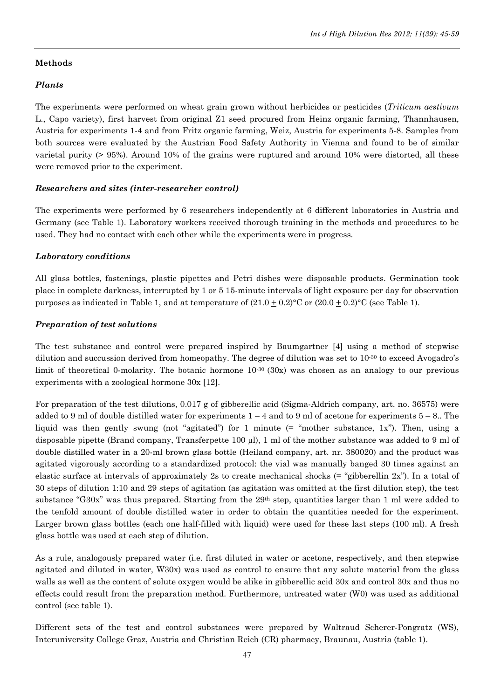#### Methods

#### Plants

The experiments were performed on wheat grain grown without herbicides or pesticides (*Triticum aestivum* L., Capo variety), first harvest from original Z1 seed procured from Heinz organic farming, Thannhausen, Austria for experiments 1-4 and from Fritz organic farming, Weiz, Austria for experiments 5-8. Samples from both sources were evaluated by the Austrian Food Safety Authority in Vienna and found to be of similar varietal purity (> 95%). Around 10% of the grains were ruptured and around 10% were distorted, all these were removed prior to the experiment.

#### Researchers and sites (inter-researcher control)

The experiments were performed by 6 researchers independently at 6 different laboratories in Austria and Germany (see Table 1). Laboratory workers received thorough training in the methods and procedures to be used. They had no contact with each other while the experiments were in progress.

#### Laboratory conditions

All glass bottles, fastenings, plastic pipettes and Petri dishes were disposable products. Germination took place in complete darkness, interrupted by 1 or 5 15-minute intervals of light exposure per day for observation purposes as indicated in Table 1, and at temperature of  $(21.0 + 0.2)$ °C or  $(20.0 + 0.2)$ °C (see Table 1).

#### Preparation of test solutions

The test substance and control were prepared inspired by Baumgartner [4] using a method of stepwise dilution and succussion derived from homeopathy. The degree of dilution was set to 10-30 to exceed Avogadro's limit of theoretical 0-molarity. The botanic hormone  $10^{-30}$  (30x) was chosen as an analogy to our previous experiments with a zoological hormone 30x [12].

For preparation of the test dilutions, 0.017 g of gibberellic acid (Sigma-Aldrich company, art. no. 36575) were added to 9 ml of double distilled water for experiments  $1 - 4$  and to 9 ml of acetone for experiments  $5 - 8$ . The liquid was then gently swung (not "agitated") for 1 minute (= "mother substance, 1x"). Then, using a disposable pipette (Brand company, Transferpette 100 µl), 1 ml of the mother substance was added to 9 ml of double distilled water in a 20-ml brown glass bottle (Heiland company, art. nr. 380020) and the product was agitated vigorously according to a standardized protocol: the vial was manually banged 30 times against an elastic surface at intervals of approximately 2s to create mechanical shocks (= "gibberellin 2x"). In a total of 30 steps of dilution 1:10 and 29 steps of agitation (as agitation was omitted at the first dilution step), the test substance "G30x" was thus prepared. Starting from the 29<sup>th</sup> step, quantities larger than 1 ml were added to the tenfold amount of double distilled water in order to obtain the quantities needed for the experiment. Larger brown glass bottles (each one half-filled with liquid) were used for these last steps (100 ml). A fresh glass bottle was used at each step of dilution.

As a rule, analogously prepared water (i.e. first diluted in water or acetone, respectively, and then stepwise agitated and diluted in water, W30x) was used as control to ensure that any solute material from the glass walls as well as the content of solute oxygen would be alike in gibberellic acid 30x and control 30x and thus no effects could result from the preparation method. Furthermore, untreated water (W0) was used as additional control (see table 1).

Different sets of the test and control substances were prepared by Waltraud Scherer-Pongratz (WS), Interuniversity College Graz, Austria and Christian Reich (CR) pharmacy, Braunau, Austria (table 1).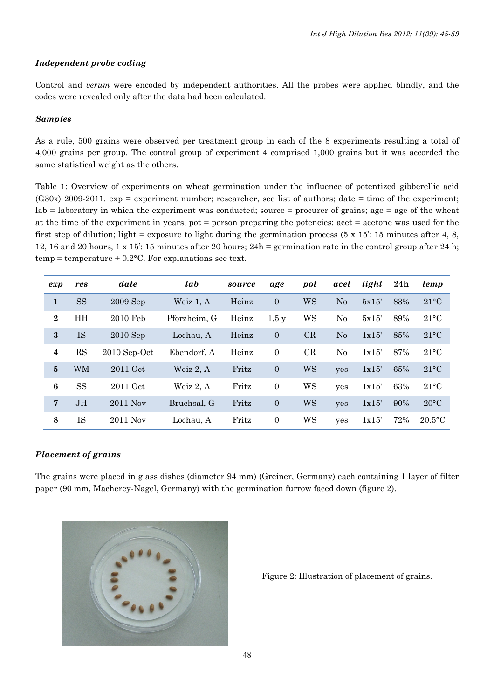## Independent probe coding

Control and verum were encoded by independent authorities. All the probes were applied blindly, and the codes were revealed only after the data had been calculated.

## Samples

As a rule, 500 grains were observed per treatment group in each of the 8 experiments resulting a total of 4,000 grains per group. The control group of experiment 4 comprised 1,000 grains but it was accorded the same statistical weight as the others.

Table 1: Overview of experiments on wheat germination under the influence of potentized gibberellic acid (G30x) 2009-2011. exp = experiment number; researcher, see list of authors; date = time of the experiment;  $\lambda$  lab = laboratory in which the experiment was conducted; source = procurer of grains; age = age of the wheat at the time of the experiment in years; pot = person preparing the potencies; acet = acetone was used for the first step of dilution; light = exposure to light during the germination process  $(5 \times 15)$ : 15 minutes after 4, 8, 12, 16 and 20 hours, 1 x 15': 15 minutes after 20 hours; 24h = germination rate in the control group after 24 h;  $temp = temperature + 0.2$ °C. For explanations see text.

| exp              | res       | date           | lab          | source | age            | pot | acet     | light | 24h | temp           |
|------------------|-----------|----------------|--------------|--------|----------------|-----|----------|-------|-----|----------------|
| 1                | <b>SS</b> | $2009$ Sep     | Weiz 1, A    | Heinz  | $\overline{0}$ | WS  | No       | 5x15' | 83% | $21^{\circ}$ C |
| $\boldsymbol{2}$ | HH        | 2010 Feb       | Pforzheim, G | Heinz  | 1.5y           | WS  | No       | 5x15' | 89% | $21^{\circ}$ C |
| $\bf{3}$         | IS        | $2010$ Sep     | Lochau, A    | Heinz  | $\overline{0}$ | CR  | No       | 1x15' | 85% | $21^{\circ}$ C |
| 4                | <b>RS</b> | $2010$ Sep-Oct | Ebendorf. A  | Heinz  | $\overline{0}$ | CR  | $\rm No$ | 1x15' | 87% | $21^{\circ}$ C |
| $5\phantom{.0}$  | WM        | 2011 Oct       | Weiz 2, A    | Fritz  | $\overline{0}$ | WS  | yes      | 1x15' | 65% | $21^{\circ}$ C |
| $\boldsymbol{6}$ | <b>SS</b> | 2011 Oct       | Weiz 2. A    | Fritz  | $\theta$       | WS  | yes      | 1x15' | 63% | $21^{\circ}$ C |
| 7                | <b>JH</b> | 2011 Nov       | Bruchsal, G  | Fritz  | $\mathbf{0}$   | WS  | yes      | 1x15' | 90% | $20^{\circ}$ C |
| 8                | IS        | 2011 Nov       | Lochau, A    | Fritz  | $\overline{0}$ | WS  | yes      | 1x15' | 72% | $20.5$ °C      |

#### Placement of grains

The grains were placed in glass dishes (diameter 94 mm) (Greiner, Germany) each containing 1 layer of filter paper (90 mm, Macherey-Nagel, Germany) with the germination furrow faced down (figure 2).



Figure 2: Illustration of placement of grains.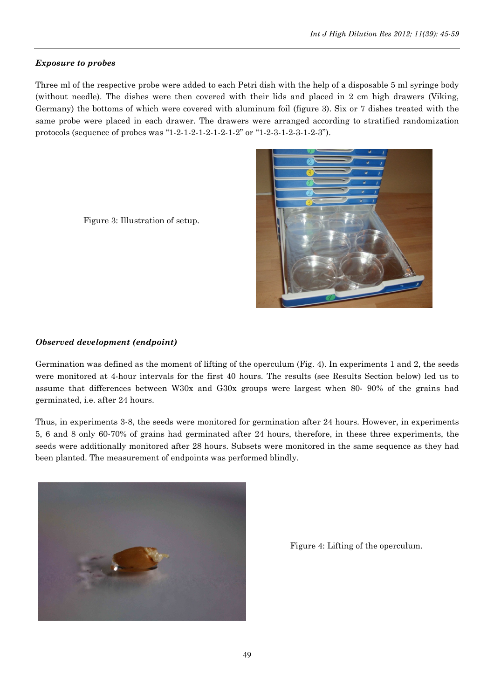## Exposure to probes

Three ml of the respective probe were added to each Petri dish with the help of a disposable 5 ml syringe body (without needle). The dishes were then covered with their lids and placed in 2 cm high drawers (Viking, Germany) the bottoms of which were covered with aluminum foil (figure 3). Six or 7 dishes treated with the same probe were placed in each drawer. The drawers were arranged according to stratified randomization protocols (sequence of probes was "1-2-1-2-1-2-1-2-1-2" or "1-2-3-1-2-3-1-2-3").





## Observed development (endpoint)

Germination was defined as the moment of lifting of the operculum (Fig. 4). In experiments 1 and 2, the seeds were monitored at 4-hour intervals for the first 40 hours. The results (see Results Section below) led us to assume that differences between W30x and G30x groups were largest when 80- 90% of the grains had germinated, i.e. after 24 hours.

Thus, in experiments 3-8, the seeds were monitored for germination after 24 hours. However, in experiments 5, 6 and 8 only 60-70% of grains had germinated after 24 hours, therefore, in these three experiments, the seeds were additionally monitored after 28 hours. Subsets were monitored in the same sequence as they had been planted. The measurement of endpoints was performed blindly.



Figure 4: Lifting of the operculum.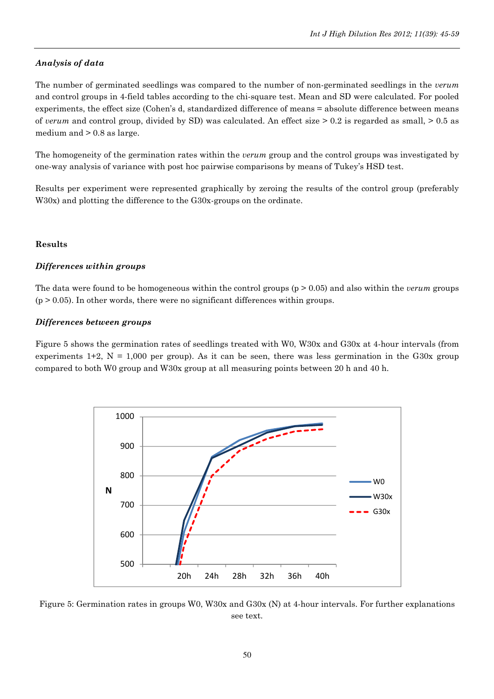## Analysis of data

The number of germinated seedlings was compared to the number of non-germinated seedlings in the *verum* and control groups in 4-field tables according to the chi-square test. Mean and SD were calculated. For pooled experiments, the effect size (Cohen's d, standardized difference of means = absolute difference between means of verum and control group, divided by SD) was calculated. An effect size > 0.2 is regarded as small, > 0.5 as medium and > 0.8 as large.

The homogeneity of the germination rates within the *verum* group and the control groups was investigated by one-way analysis of variance with post hoc pairwise comparisons by means of Tukey's HSD test.

Results per experiment were represented graphically by zeroing the results of the control group (preferably W30x) and plotting the difference to the G30x-groups on the ordinate.

#### Results

#### Differences within groups

The data were found to be homogeneous within the control groups ( $p > 0.05$ ) and also within the *verum* groups  $(p > 0.05)$ . In other words, there were no significant differences within groups.

#### Differences between groups

Figure 5 shows the germination rates of seedlings treated with W0, W30x and G30x at 4-hour intervals (from experiments 1+2,  $N = 1,000$  per group). As it can be seen, there was less germination in the G30x group compared to both W0 group and W30x group at all measuring points between 20 h and 40 h.



Figure 5: Germination rates in groups W0, W30x and G30x (N) at 4-hour intervals. For further explanations see text.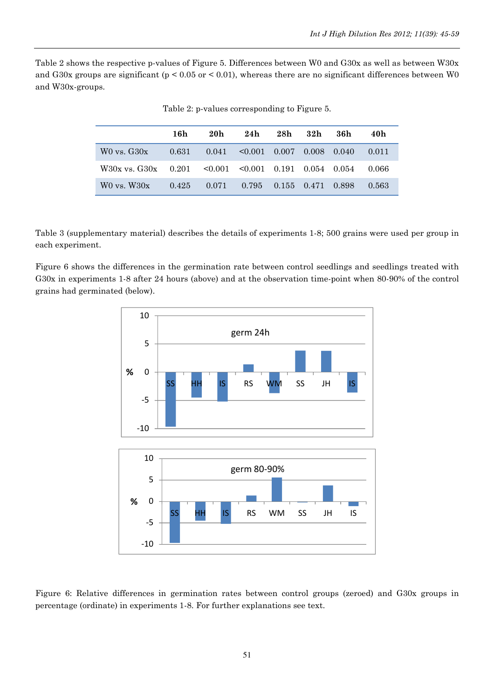Table 2 shows the respective p-values of Figure 5. Differences between W0 and G30x as well as between W30x and G30x groups are significant (p < 0.05 or < 0.01), whereas there are no significant differences between W0 and W30x-groups.

|                                                                                     | 16h | 20h                                                  | 24h 28h 32h |  | 36h | 40h    |
|-------------------------------------------------------------------------------------|-----|------------------------------------------------------|-------------|--|-----|--------|
| $W0$ vs. $G30x$                                                                     |     | $0.631$ $0.041$ $\leq 0.001$ $0.007$ $0.008$ $0.040$ |             |  |     | 0.011  |
| $W30x$ vs. $G30x$ $0.201$ $\leq 0.001$ $\leq 0.001$ $0.191$ $0.054$ $0.054$ $0.066$ |     |                                                      |             |  |     |        |
| $W0$ vs. $W30x$                                                                     |     | $0.425$ $0.071$ $0.795$ $0.155$ $0.471$ $0.898$      |             |  |     | -0.563 |

Table 2: p-values corresponding to Figure 5.

Table 3 (supplementary material) describes the details of experiments 1-8; 500 grains were used per group in each experiment.

Figure 6 shows the differences in the germination rate between control seedlings and seedlings treated with G30x in experiments 1-8 after 24 hours (above) and at the observation time-point when 80-90% of the control grains had germinated (below).



Figure 6: Relative differences in germination rates between control groups (zeroed) and G30x groups in percentage (ordinate) in experiments 1-8. For further explanations see text.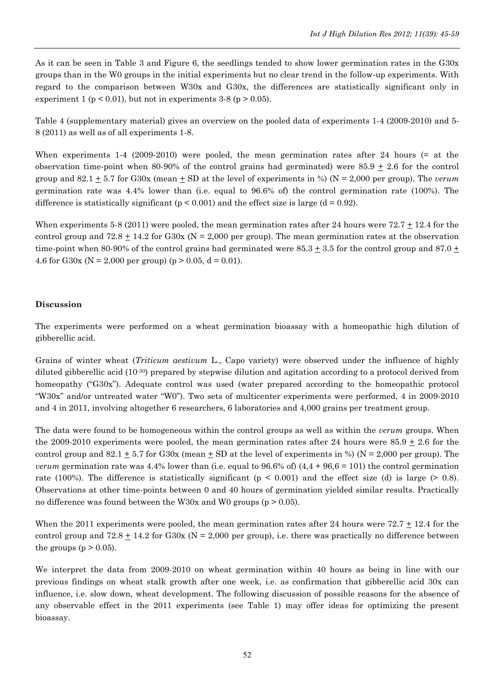As it can be seen in Table 3 and Figure 6, the seedlings tended to show lower germination rates in the G30x groups than in the W0 groups in the initial experiments but no clear trend in the follow-up experiments. With regard to the comparison between W30x and G30x, the differences are statistically significant only in experiment 1 ( $p < 0.01$ ), but not in experiments 3-8 ( $p > 0.05$ ).

Table 4 (supplementary material) gives an overview on the pooled data of experiments 1-4 (2009-2010) and 5- 8 (2011) as well as of all experiments 1-8.

When experiments 1-4 (2009-2010) were pooled, the mean germination rates after 24 hours (= at the observation time-point when 80-90% of the control grains had germinated) were  $85.9 \pm 2.6$  for the control group and 82.1 + 5.7 for G30x (mean + SD at the level of experiments in %) ( $N = 2,000$  per group). The *verum* germination rate was 4.4% lower than (i.e. equal to 96.6% of) the control germination rate (100%). The difference is statistically significant ( $p < 0.001$ ) and the effect size is large ( $d = 0.92$ ).

When experiments 5-8 (2011) were pooled, the mean germination rates after 24 hours were  $72.7 \pm 12.4$  for the control group and 72.8  $\pm$  14.2 for G30x (N = 2,000 per group). The mean germination rates at the observation time-point when 80-90% of the control grains had germinated were  $85.3 \pm 3.5$  for the control group and  $87.0 \pm 1.5$ 4.6 for G30x (N = 2,000 per group) (p > 0.05, d = 0.01).

## Discussion

The experiments were performed on a wheat germination bioassay with a homeopathic high dilution of gibberellic acid.

Grains of winter wheat *(Triticum aestivum L.*, Capo variety) were observed under the influence of highly diluted gibberellic acid (10-30) prepared by stepwise dilution and agitation according to a protocol derived from homeopathy ("G30x"). Adequate control was used (water prepared according to the homeopathic protocol "W30x" and/or untreated water "W0"). Two sets of multicenter experiments were performed, 4 in 2009-2010 and 4 in 2011, involving altogether 6 researchers, 6 laboratories and 4,000 grains per treatment group.

The data were found to be homogeneous within the control groups as well as within the *verum* groups. When the 2009-2010 experiments were pooled, the mean germination rates after 24 hours were  $85.9 \pm 2.6$  for the control group and  $82.1 \pm 5.7$  for G30x (mean  $\pm$  SD at the level of experiments in %) (N = 2,000 per group). The *verum* germination rate was 4.4% lower than (i.e. equal to 96.6% of)  $(4.4 + 96.6 = 101)$  the control germination rate (100%). The difference is statistically significant ( $p < 0.001$ ) and the effect size (d) is large ( $> 0.8$ ). Observations at other time-points between 0 and 40 hours of germination yielded similar results. Practically no difference was found between the W30x and W0 groups ( $p > 0.05$ ).

When the 2011 experiments were pooled, the mean germination rates after 24 hours were 72.7 + 12.4 for the control group and  $72.8 + 14.2$  for G30x (N = 2,000 per group), i.e. there was practically no difference between the groups ( $p > 0.05$ ).

We interpret the data from 2009-2010 on wheat germination within 40 hours as being in line with our previous findings on wheat stalk growth after one week, i.e. as confirmation that gibberellic acid 30x can influence, i.e. slow down, wheat development. The following discussion of possible reasons for the absence of any observable effect in the 2011 experiments (see Table 1) may offer ideas for optimizing the present bioassay.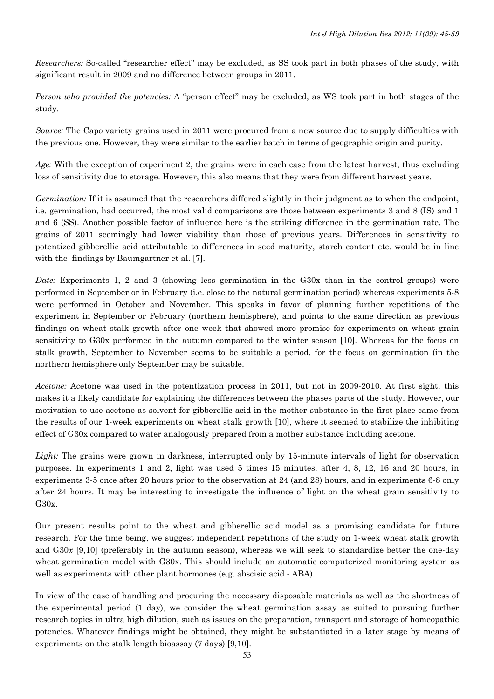Researchers: So-called "researcher effect" may be excluded, as SS took part in both phases of the study, with significant result in 2009 and no difference between groups in 2011.

Person who provided the potencies: A "person effect" may be excluded, as WS took part in both stages of the study.

Source: The Capo variety grains used in 2011 were procured from a new source due to supply difficulties with the previous one. However, they were similar to the earlier batch in terms of geographic origin and purity.

Age: With the exception of experiment 2, the grains were in each case from the latest harvest, thus excluding loss of sensitivity due to storage. However, this also means that they were from different harvest years.

Germination: If it is assumed that the researchers differed slightly in their judgment as to when the endpoint, i.e. germination, had occurred, the most valid comparisons are those between experiments 3 and 8 (IS) and 1 and 6 (SS). Another possible factor of influence here is the striking difference in the germination rate. The grains of 2011 seemingly had lower viability than those of previous years. Differences in sensitivity to potentized gibberellic acid attributable to differences in seed maturity, starch content etc. would be in line with the findings by Baumgartner et al. [7].

Date: Experiments 1, 2 and 3 (showing less germination in the G30x than in the control groups) were performed in September or in February (i.e. close to the natural germination period) whereas experiments 5-8 were performed in October and November. This speaks in favor of planning further repetitions of the experiment in September or February (northern hemisphere), and points to the same direction as previous findings on wheat stalk growth after one week that showed more promise for experiments on wheat grain sensitivity to G30x performed in the autumn compared to the winter season [10]. Whereas for the focus on stalk growth, September to November seems to be suitable a period, for the focus on germination (in the northern hemisphere only September may be suitable.

Acetone: Acetone was used in the potentization process in 2011, but not in 2009-2010. At first sight, this makes it a likely candidate for explaining the differences between the phases parts of the study. However, our motivation to use acetone as solvent for gibberellic acid in the mother substance in the first place came from the results of our 1-week experiments on wheat stalk growth [10], where it seemed to stabilize the inhibiting effect of G30x compared to water analogously prepared from a mother substance including acetone.

Light: The grains were grown in darkness, interrupted only by 15-minute intervals of light for observation purposes. In experiments 1 and 2, light was used 5 times 15 minutes, after 4, 8, 12, 16 and 20 hours, in experiments 3-5 once after 20 hours prior to the observation at 24 (and 28) hours, and in experiments 6-8 only after 24 hours. It may be interesting to investigate the influence of light on the wheat grain sensitivity to G30x.

Our present results point to the wheat and gibberellic acid model as a promising candidate for future research. For the time being, we suggest independent repetitions of the study on 1-week wheat stalk growth and  $G30x$  [9,10] (preferably in the autumn season), whereas we will seek to standardize better the one-day wheat germination model with G30x. This should include an automatic computerized monitoring system as well as experiments with other plant hormones (e.g. abscisic acid - ABA).

In view of the ease of handling and procuring the necessary disposable materials as well as the shortness of the experimental period (1 day), we consider the wheat germination assay as suited to pursuing further research topics in ultra high dilution, such as issues on the preparation, transport and storage of homeopathic potencies. Whatever findings might be obtained, they might be substantiated in a later stage by means of experiments on the stalk length bioassay (7 days) [9,10].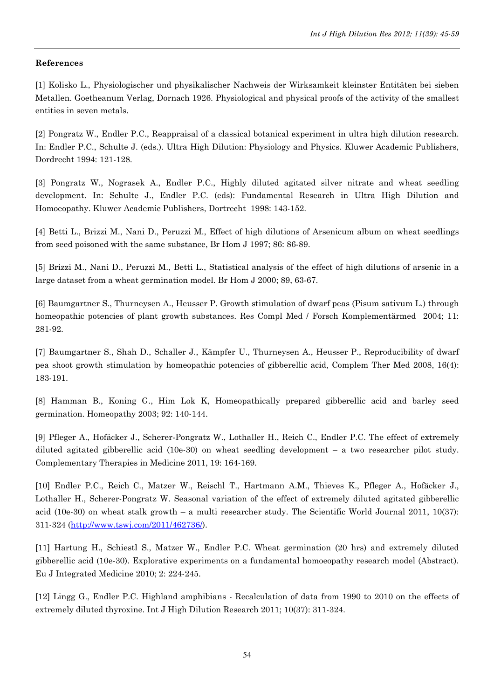#### References

[1] Kolisko L., Physiologischer und physikalischer Nachweis der Wirksamkeit kleinster Entitäten bei sieben Metallen. Goetheanum Verlag, Dornach 1926. Physiological and physical proofs of the activity of the smallest entities in seven metals.

[2] Pongratz W., Endler P.C., Reappraisal of a classical botanical experiment in ultra high dilution research. In: Endler P.C., Schulte J. (eds.). Ultra High Dilution: Physiology and Physics. Kluwer Academic Publishers, Dordrecht 1994: 121-128.

[3] Pongratz W., Nograsek A., Endler P.C., Highly diluted agitated silver nitrate and wheat seedling development. In: Schulte J., Endler P.C. (eds): Fundamental Research in Ultra High Dilution and Homoeopathy. Kluwer Academic Publishers, Dortrecht 1998: 143-152.

[4] Betti L., Brizzi M., Nani D., Peruzzi M., Effect of high dilutions of Arsenicum album on wheat seedlings from seed poisoned with the same substance, Br Hom J 1997; 86: 86-89.

[5] Brizzi M., Nani D., Peruzzi M., Betti L., Statistical analysis of the effect of high dilutions of arsenic in a large dataset from a wheat germination model. Br Hom J 2000; 89, 63-67.

[6] Baumgartner S., Thurneysen A., Heusser P. Growth stimulation of dwarf peas (Pisum sativum L.) through homeopathic potencies of plant growth substances. Res Compl Med / Forsch Komplementärmed 2004; 11: 281-92.

[7] Baumgartner S., Shah D., Schaller J., Kämpfer U., Thurneysen A., Heusser P., Reproducibility of dwarf pea shoot growth stimulation by homeopathic potencies of gibberellic acid, Complem Ther Med 2008, 16(4): 183-191.

[8] Hamman B., Koning G., Him Lok K, Homeopathically prepared gibberellic acid and barley seed germination. Homeopathy 2003; 92: 140-144.

[9] Pfleger A., Hofäcker J., Scherer-Pongratz W., Lothaller H., Reich C., Endler P.C. The effect of extremely diluted agitated gibberellic acid (10e-30) on wheat seedling development – a two researcher pilot study. Complementary Therapies in Medicine 2011, 19: 164-169.

[10] Endler P.C., Reich C., Matzer W., Reischl T., Hartmann A.M., Thieves K., Pfleger A., Hofäcker J., Lothaller H., Scherer-Pongratz W. Seasonal variation of the effect of extremely diluted agitated gibberellic acid (10e-30) on wheat stalk growth – a multi researcher study. The Scientific World Journal 2011, 10(37): 311-324 (http://www.tswj.com/2011/462736/).

[11] Hartung H., Schiestl S., Matzer W., Endler P.C. Wheat germination (20 hrs) and extremely diluted gibberellic acid (10e-30). Explorative experiments on a fundamental homoeopathy research model (Abstract). Eu J Integrated Medicine 2010; 2: 224-245.

[12] Lingg G., Endler P.C. Highland amphibians - Recalculation of data from 1990 to 2010 on the effects of extremely diluted thyroxine. Int J High Dilution Research 2011; 10(37): 311-324.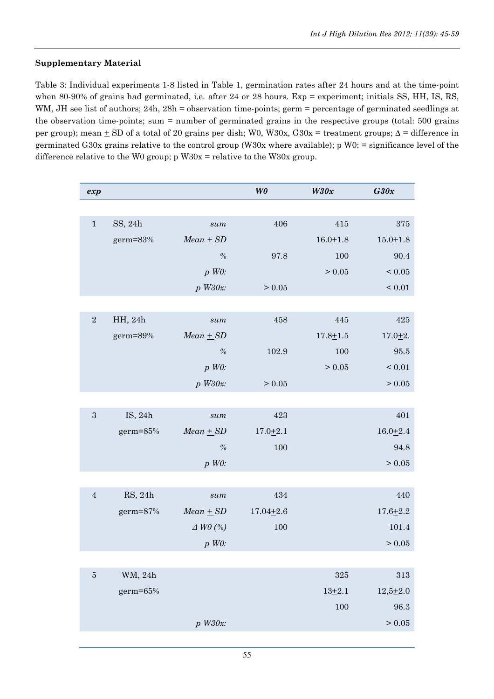## Supplementary Material

Table 3: Individual experiments 1-8 listed in Table 1, germination rates after 24 hours and at the time-point when 80-90% of grains had germinated, i.e. after 24 or 28 hours. Exp = experiment; initials SS, HH, IS, RS, WM, JH see list of authors; 24h, 28h = observation time-points; germ = percentage of germinated seedlings at the observation time-points; sum = number of germinated grains in the respective groups (total: 500 grains per group); mean  $\pm$  SD of a total of 20 grains per dish; W0, W30x, G30x = treatment groups;  $\Delta$  = difference in germinated G30x grains relative to the control group (W30x where available); p W0: = significance level of the difference relative to the W0 group;  $p$  W30x = relative to the W30x group.

| exp        |          |                               | W <sub>0</sub> | W30x         | G30x         |
|------------|----------|-------------------------------|----------------|--------------|--------------|
|            |          |                               |                |              |              |
| $1\,$      | SS, 24h  | sum                           | 406            | 415          | 375          |
|            | germ=83% | $Mean + SD$                   |                | $16.0 + 1.8$ | $15.0 + 1.8$ |
|            |          | $\frac{o}{o}$                 | 97.8           | 100          | 90.4         |
|            |          | $p$ WO:                       |                | > 0.05       | $\leq 0.05$  |
|            |          | $p$ W30x:                     | > 0.05         |              | ${}_{0.01}$  |
|            |          |                               |                |              |              |
| $\sqrt{2}$ | HH, 24h  | sum                           | 458            | 445          | 425          |
|            | germ=89% | $Mean + SD$                   |                | $17.8 + 1.5$ | $17.0 + 2.$  |
|            |          | $\%$                          | 102.9          | 100          | 95.5         |
|            |          | $p$ WO:                       |                | > 0.05       | $\leq 0.01$  |
|            |          | $p$ W30x:                     | > 0.05         |              | > 0.05       |
|            |          |                               |                |              |              |
| $\sqrt{3}$ | IS, 24h  | $\operatorname{\mathit{sum}}$ | 423            |              | 401          |
|            | germ=85% | $Mean + SD$                   | $17.0 + 2.1$   |              | $16.0 + 2.4$ |
|            |          | $\%$                          | 100            |              | 94.8         |
|            |          | $p$ WO:                       |                |              | > 0.05       |
|            |          |                               |                |              |              |
| $\sqrt{4}$ | RS, 24h  | $\operatorname{\mathit{sum}}$ | 434            |              | 440          |
|            | germ=87% | $Mean + SD$                   | $17.04 + 2.6$  |              | $17.6 + 2.2$ |
|            |          | $\triangle$ WO (%)            | 100            |              | 101.4        |
|            |          | $p$ WO:                       |                |              | > 0.05       |
|            |          |                               |                |              |              |
| $\bf 5$    | WM, 24h  |                               |                | $325\,$      | 313          |
|            | germ=65% |                               |                | $13 + 2.1$   | $12,5+2.0$   |
|            |          |                               |                | 100          | 96.3         |
|            |          | $p$ W30x:                     |                |              | > 0.05       |
|            |          |                               |                |              |              |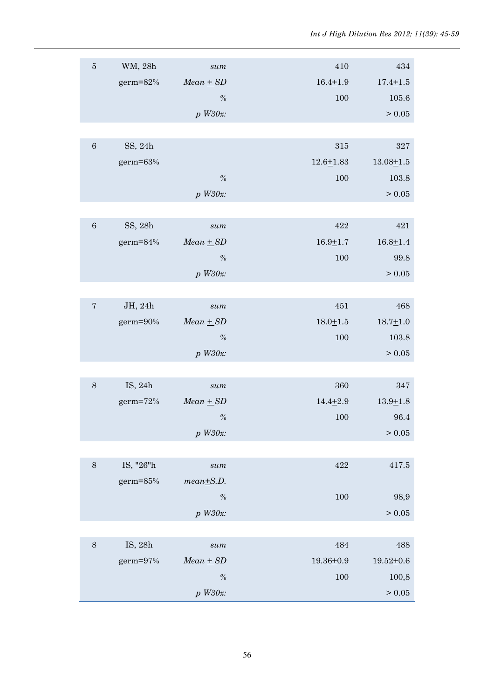| $\bf 5$    | WM, 28h    | sum                           | 410           | 434           |
|------------|------------|-------------------------------|---------------|---------------|
|            | germ=82%   | $Mean + SD$                   | $16.4 + 1.9$  | $17.4 + 1.5$  |
|            |            | $\frac{o}{o}$                 | 100           | 105.6         |
|            |            | $p$ W30x:                     |               | > 0.05        |
|            |            |                               |               |               |
|            |            |                               |               |               |
| $\,6\,$    | SS, 24h    |                               | 315           | 327           |
|            | germ=63%   |                               | $12.6 + 1.83$ | $13.08 + 1.5$ |
|            |            | $\frac{o}{o}$                 | 100           | 103.8         |
|            |            | $p$ W30x:                     |               | > 0.05        |
|            |            |                               |               |               |
| $\,6\,$    | SS, 28h    | sum                           | 422           | 421           |
|            | germ=84%   | $Mean + SD$                   | $16.9 + 1.7$  | $16.8 + 1.4$  |
|            |            | $\frac{o}{o}$                 | 100           | 99.8          |
|            |            | $p$ W30x:                     |               | > 0.05        |
|            |            |                               |               |               |
| $\sqrt{ }$ | JH, 24h    | sum                           | 451           | 468           |
|            | germ=90%   | $Mean + SD$                   | $18.0 + 1.5$  | $18.7 + 1.0$  |
|            |            | $\frac{o}{o}$                 | 100           | 103.8         |
|            |            | $p$ W30x:                     |               | > 0.05        |
|            |            |                               |               |               |
| $8\,$      | IS, 24h    | sum                           | 360           | 347           |
|            | $germ=72%$ | $Mean + SD$                   | $14.4 + 2.9$  | $13.9 + 1.8$  |
|            |            | $\%$                          | 100           | 96.4          |
|            |            | $p$ W30x:                     |               | $>0.05$       |
|            |            |                               |               |               |
| $8\,$      | IS, "26"h  | $\operatorname{\mathit{sum}}$ | 422           | $417.5\,$     |
|            | germ=85%   | $mean + S.D.$                 |               |               |
|            |            | $\frac{\theta}{\theta}$       | 100           |               |
|            |            |                               |               | 98,9          |
|            |            | $p$ W30x:                     |               | > 0.05        |
|            |            |                               |               |               |
| $8\,$      | IS, 28h    | $\operatorname{\mathit{sum}}$ | 484           | 488           |
|            | germ=97%   | $Mean + SD$                   | $19.36 + 0.9$ | $19.52 + 0.6$ |
|            |            | $\frac{o}{o}$                 | 100           | 100,8         |
|            |            | $p$ W30x:                     |               | > 0.05        |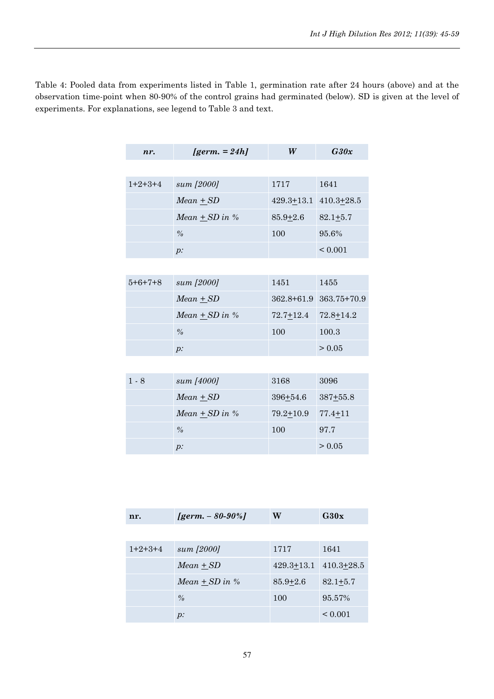Table 4: Pooled data from experiments listed in Table 1, germination rate after 24 hours (above) and at the observation time-point when 80-90% of the control grains had germinated (below). SD is given at the level of experiments. For explanations, see legend to Table 3 and text.

| nr.       | $\textit{lgerm.} = 24hl$ | W                | G30x            |  |
|-----------|--------------------------|------------------|-----------------|--|
|           |                          |                  |                 |  |
| $1+2+3+4$ | sum [2000]               | 1717             | 1641            |  |
|           | $Mean + SD$              | $429.3 \pm 13.1$ | $410.3 + 28.5$  |  |
|           | Mean $\pm$ SD in %       | $85.9 + 2.6$     | $82.1 + 5.7$    |  |
|           | $\frac{0}{0}$            | 100              | 95.6%           |  |
|           | $p$ :                    |                  | < 0.001         |  |
|           |                          |                  |                 |  |
| $5+6+7+8$ | sum [2000]               | 1451             | 1455            |  |
|           | $Mean + SD$              | $362.8 + 61.9$   | $363.75 + 70.9$ |  |
|           | $Mean + SD in \%$        | $72.7 + 12.4$    | $72.8 + 14.2$   |  |
|           | $\frac{0}{0}$            | 100              | 100.3           |  |
|           | $p$ :                    |                  | > 0.05          |  |
|           |                          |                  |                 |  |
| $1 - 8$   | sum [4000]               | 3168             | 3096            |  |
|           | $Mean + SD$              | 396+54.6         | $387 + 55.8$    |  |
|           | $Mean + SD in \%$        | $79.2 + 10.9$    | $77.4 + 11$     |  |
|           | $\frac{0}{0}$            | 100              | 97.7            |  |
|           | $p$ :                    |                  | > 0.05          |  |

| nr.       | [germ. $-80-90%$ ] | W              | G30x           |
|-----------|--------------------|----------------|----------------|
|           |                    |                |                |
| $1+2+3+4$ | sum [2000]         | 1717           | 1641           |
|           | $Mean + SD$        | $429.3 + 13.1$ | $410.3 + 28.5$ |
|           | $Mean + SD in \%$  | $85.9 + 2.6$   | $82.1 + 5.7$   |
|           | $\frac{0}{0}$      | 100            | 95.57%         |
|           | $p$ :              |                | ${}_{0.001}$   |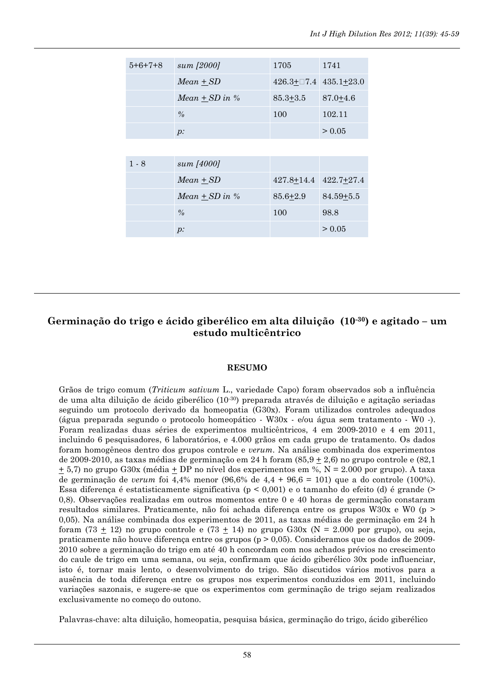| $5+6+7+8$ | sum [2000]         | 1705             | 1741           |
|-----------|--------------------|------------------|----------------|
|           | $Mean + SD$        | $426.3 \pm 0.74$ | $435.1 + 23.0$ |
|           | Mean $\pm$ SD in % | $85.3 \pm 3.5$   | $87.0 + 4.6$   |
|           | $\frac{0}{0}$      | 100              | 102.11         |
|           | $p$ :              |                  | > 0.05         |
|           |                    |                  |                |
| $1 - 8$   | sum [4000]         |                  |                |
|           | $Mean + SD$        | $427.8 \pm 14.4$ | $422.7+27.4$   |
|           | Mean $\pm$ SD in % | $85.6 + 2.9$     | $84.59 + 5.5$  |
|           | $\frac{0}{0}$      | 100              | 98.8           |
|           | $p$ :              |                  | > 0.05         |

## Germinação do trigo e ácido giberélico em alta diluição (10-30) e agitado – um estudo multicêntrico

#### RESUMO

Grãos de trigo comum (Triticum sativum L., variedade Capo) foram observados sob a influência de uma alta diluição de ácido giberélico  $(10^{-30})$  preparada através de diluição e agitação seriadas seguindo um protocolo derivado da homeopatia (G30x). Foram utilizados controles adequados (água preparada segundo o protocolo homeopático - W30x - e/ou água sem tratamento - W0 -). Foram realizadas duas séries de experimentos multicêntricos, 4 em 2009-2010 e 4 em 2011, incluindo 6 pesquisadores, 6 laboratórios, e 4.000 grãos em cada grupo de tratamento. Os dados foram homogêneos dentro dos grupos controle e verum. Na análise combinada dos experimentos de 2009-2010, as taxas médias de germinação em 24 h foram  $(85.9 \pm 2.6)$  no grupo controle e  $(82.1)$  $\pm$  5,7) no grupo G30x (média  $\pm$  DP no nível dos experimentos em %, N = 2.000 por grupo). A taxa de germinação de verum foi 4,4% menor (96,6% de 4,4 + 96,6 = 101) que a do controle (100%). Essa diferença é estatisticamente significativa ( $p < 0.001$ ) e o tamanho do efeito (d) é grande (> 0,8). Observações realizadas em outros momentos entre 0 e 40 horas de germinação constaram resultados similares. Praticamente, não foi achada diferença entre os grupos W30x e W0 (p > 0,05). Na análise combinada dos experimentos de 2011, as taxas médias de germinação em 24 h foram (73  $\pm$  12) no grupo controle e (73  $\pm$  14) no grupo G30x (N = 2.000 por grupo), ou seja, praticamente não houve diferença entre os grupos (p > 0,05). Consideramos que os dados de 2009- 2010 sobre a germinação do trigo em até 40 h concordam com nos achados prévios no crescimento do caule de trigo em uma semana, ou seja, confirmam que ácido giberélico 30x pode influenciar, isto é, tornar mais lento, o desenvolvimento do trigo. São discutidos vários motivos para a ausência de toda diferença entre os grupos nos experimentos conduzidos em 2011, incluindo variações sazonais, e sugere-se que os experimentos com germinação de trigo sejam realizados exclusivamente no começo do outono.

Palavras-chave: alta diluição, homeopatia, pesquisa básica, germinação do trigo, ácido giberélico